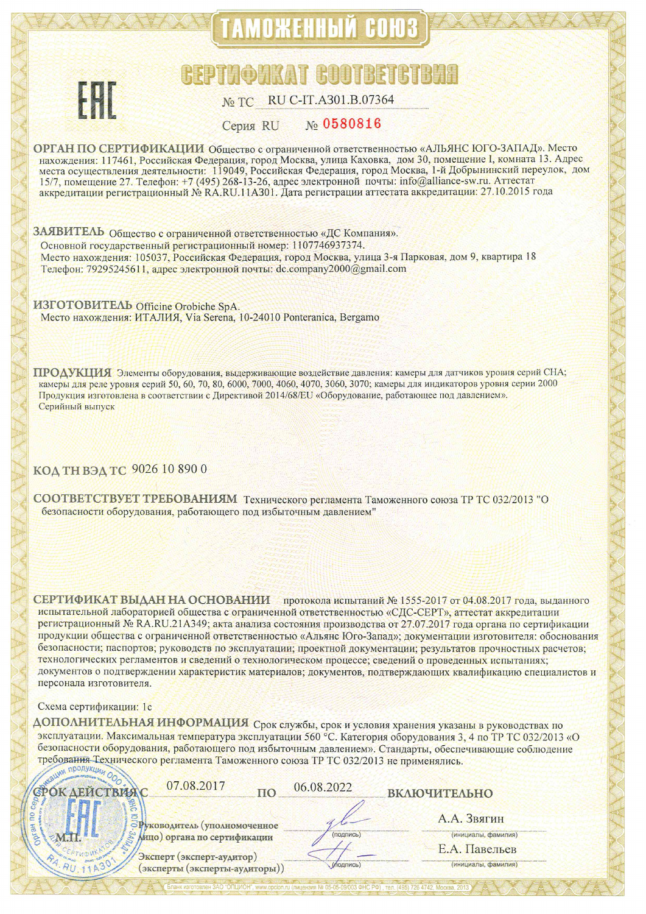# ТАМОЖЕННЫЙ СОЮЗ



## **GEPTMOMKAT GOOTBETG**

#### RU C-IT.A301.B.07364 No TC

#### No 0580816 **Серия RU**

ОРГАН ПО СЕРТИФИКАЦИИ Общество с ограниченной ответственностью «АЛЬЯНС ЮГО-ЗАПАД». Место нахождения: 117461, Российская Федерация, город Москва, улица Каховка, дом 30, помещение I, комната 13. Адрес места осуществления деятельности: 119049, Российская Федерация, город Москва, 1-й Добрынинский переулок, дом 15/7, помещение 27. Телефон: +7 (495) 268-13-26, адрес электронной почты: info@alliance-sw.ru. Аттестат аккредитации регистрационный № RA.RU.11A301. Дата регистрации аттестата аккредитации: 27.10.2015 года

ЗАЯВИТЕЛЬ Общество с ограниченной ответственностью «ДС Компания». Основной государственный регистрационный номер: 1107746937374. Место нахождения: 105037, Российская Федерация, город Москва, улица 3-я Парковая, дом 9, квартира 18 Телефон: 79295245611, адрес электронной почты: dc.company2000@gmail.com

**ИЗГОТОВИТЕЛЬ** Officine Orobiche SpA. Место нахождения: ИТАЛИЯ, Via Serena, 10-24010 Ponteranica, Bergamo

ПРОДУКЦИЯ Элементы оборудования, выдерживающие воздействие давления: камеры для датчиков уровня серий СНА; камеры для реле уровня серий 50, 60, 70, 80, 6000, 7000, 4060, 4070, 3060, 3070; камеры для индикаторов уровня серии 2000 Продукция изготовлена в соответствии с Директивой 2014/68/EU «Оборудование, работающее под давлением». Серийный выпуск

КОД ТН ВЭД ТС 9026 10 890 0

СООТВЕТСТВУЕТ ТРЕБОВАНИЯМ Технического регламента Таможенного союза ТР ТС 032/2013 "О безопасности оборудования, работающего под избыточным давлением"

СЕРТИФИКАТ ВЫДАН НА ОСНОВАНИИ протокола испытаний № 1555-2017 от 04.08.2017 года, выданного испытательной лабораторией общества с ограниченной ответственностью «СДС-СЕРТ», аттестат аккредитации регистрационный № RA.RU.21A349; акта анализа состояния производства от 27.07.2017 года органа по сертификации продукции общества с ограниченной ответственностью «Альянс Юго-Запад»; документации изготовителя: обоснования безопасности; паспортов; руководств по эксплуатации; проектной документации; результатов прочностных расчетов; технологических регламентов и сведений о технологическом процессе; сведений о проведенных испытаниях; документов о подтверждении характеристик материалов; документов, подтверждающих квалификацию специалистов и персонала изготовителя.

## Схема сертификации: 1с

ДОПОЛНИТЕЛЬНАЯ ИНФОРМАЦИЯ Срок службы, срок и условия хранения указаны в руководствах по эксплуатации. Максимальная температура эксплуатации 560 °С. Категория оборудования 3, 4 по ТР ТС 032/2013 «О безопасности оборудования, работающего под избыточным давлением». Стандарты, обеспечивающие соблюдение требовання-Технического регламента Таможенного союза ТР ТС 032/2013 не применялись.

| 07.08.2017                                                  | 06.08.2022 | ВКЛЮЧИТЕЛЬНО                         |
|-------------------------------------------------------------|------------|--------------------------------------|
| уководитель (уполномоченное<br>Мицо) органа по сертификации | (подпись)  | А.А. Звягин<br>(инициалы, фамилия)   |
| Эксперт (эксперт-аудитор)<br>(эксперты (эксперты-аудиторы)) | (подпись)  | Е.А. Павельев<br>(инициалы, фамилия) |

НС РФ), тел. (495) 726 4742. Москва, 201

влен ЗАО "ОПЦИОН", www.opcion.ru (лицензия № 05-05-0